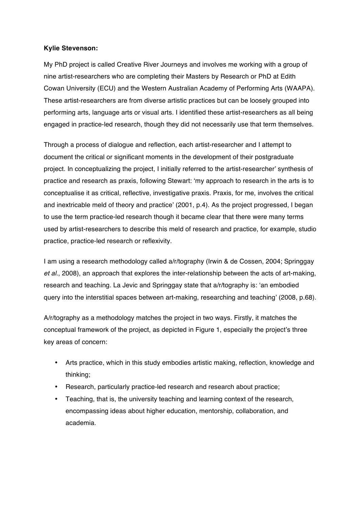## **Kylie Stevenson:**

My PhD project is called Creative River Journeys and involves me working with a group of nine artist-researchers who are completing their Masters by Research or PhD at Edith Cowan University (ECU) and the Western Australian Academy of Performing Arts (WAAPA). These artist-researchers are from diverse artistic practices but can be loosely grouped into performing arts, language arts or visual arts. I identified these artist-researchers as all being engaged in practice-led research, though they did not necessarily use that term themselves.

Through a process of dialogue and reflection, each artist-researcher and I attempt to document the critical or significant moments in the development of their postgraduate project. In conceptualizing the project, I initially referred to the artist-researcher' synthesis of practice and research as praxis, following Stewart: 'my approach to research in the arts is to conceptualise it as critical, reflective, investigative praxis. Praxis, for me, involves the critical and inextricable meld of theory and practice' (2001, p.4). As the project progressed, I began to use the term practice-led research though it became clear that there were many terms used by artist-researchers to describe this meld of research and practice, for example, studio practice, practice-led research or reflexivity.

I am using a research methodology called a/r/tography (Irwin & de Cossen, 2004; Springgay *et al.*, 2008), an approach that explores the inter-relationship between the acts of art-making, research and teaching. La Jevic and Springgay state that a/r/tography is: 'an embodied query into the interstitial spaces between art-making, researching and teaching' (2008, p.68).

A/r/tography as a methodology matches the project in two ways. Firstly, it matches the conceptual framework of the project, as depicted in Figure 1, especially the project's three key areas of concern:

- Arts practice, which in this study embodies artistic making, reflection, knowledge and thinking;
- Research, particularly practice-led research and research about practice;
- Teaching, that is, the university teaching and learning context of the research, encompassing ideas about higher education, mentorship, collaboration, and academia.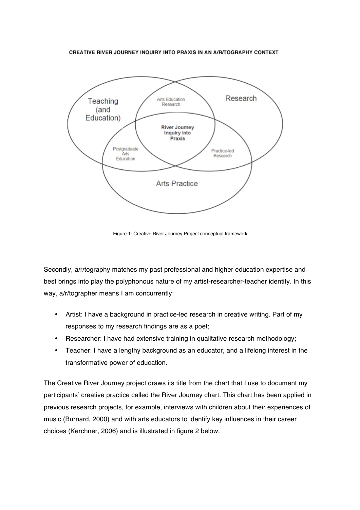CREATIVE RIVER JOURNEY INQUIRY INTO PRAXIS IN AN A/R/TOGRAPHY CONTEXT



Figure 1: Creative River Journey Project conceptual framework

Secondly, a/r/tography matches my past professional and higher education expertise and best brings into play the polyphonous nature of my artist-researcher-teacher identity. In this way, a/r/tographer means I am concurrently:

- Artist: I have a background in practice-led research in creative writing. Part of my responses to my research findings are as a poet;
- Researcher: I have had extensive training in qualitative research methodology;
- Teacher: I have a lengthy background as an educator, and a lifelong interest in the transformative power of education.

The Creative River Journey project draws its title from the chart that I use to document my participants' creative practice called the River Journey chart. This chart has been applied in previous research projects, for example, interviews with children about their experiences of music (Burnard, 2000) and with arts educators to identify key influences in their career choices (Kerchner, 2006) and is illustrated in figure 2 below.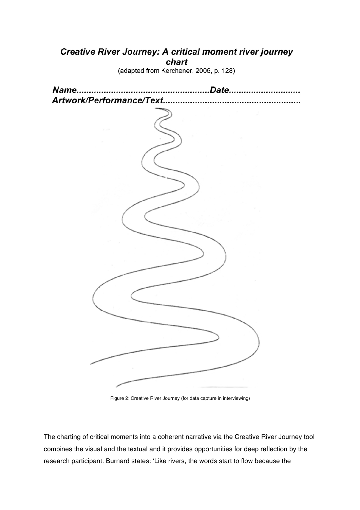# **Creative River Journey: A critical moment river journey** chart

(adapted from Kerchener, 2006, p. 128)

| Name.<br>Artwork/Performance/Text | Date. |
|-----------------------------------|-------|
|                                   |       |
|                                   |       |
|                                   |       |
|                                   |       |
|                                   |       |
|                                   |       |
|                                   |       |
|                                   |       |
|                                   |       |
|                                   |       |
|                                   |       |
|                                   |       |
|                                   |       |
|                                   |       |
|                                   |       |
|                                   |       |
|                                   |       |
|                                   |       |
|                                   |       |
|                                   |       |

Figure 2: Creative River Journey (for data capture in interviewing)

The charting of critical moments into a coherent narrative via the Creative River Journey tool combines the visual and the textual and it provides opportunities for deep reflection by the research participant. Burnard states: 'Like rivers, the words start to flow because the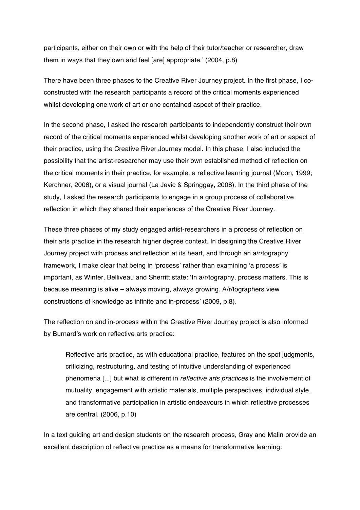participants, either on their own or with the help of their tutor/teacher or researcher, draw them in ways that they own and feel [are] appropriate.' (2004, p.8)

There have been three phases to the Creative River Journey project. In the first phase, I coconstructed with the research participants a record of the critical moments experienced whilst developing one work of art or one contained aspect of their practice.

In the second phase, I asked the research participants to independently construct their own record of the critical moments experienced whilst developing another work of art or aspect of their practice, using the Creative River Journey model. In this phase, I also included the possibility that the artist-researcher may use their own established method of reflection on the critical moments in their practice, for example, a reflective learning journal (Moon, 1999; Kerchner, 2006), or a visual journal (La Jevic & Springgay, 2008). In the third phase of the study, I asked the research participants to engage in a group process of collaborative reflection in which they shared their experiences of the Creative River Journey.

These three phases of my study engaged artist-researchers in a process of reflection on their arts practice in the research higher degree context. In designing the Creative River Journey project with process and reflection at its heart, and through an a/r/tography framework, I make clear that being in 'process' rather than examining 'a process' is important, as Winter, Belliveau and Sherritt state: 'In a/r/tography, process matters. This is because meaning is alive – always moving, always growing. A/r/tographers view constructions of knowledge as infinite and in-process' (2009, p.8).

The reflection on and in-process within the Creative River Journey project is also informed by Burnard's work on reflective arts practice:

Reflective arts practice, as with educational practice, features on the spot judgments, criticizing, restructuring, and testing of intuitive understanding of experienced phenomena [...] but what is different in *reflective arts practices* is the involvement of mutuality, engagement with artistic materials, multiple perspectives, individual style, and transformative participation in artistic endeavours in which reflective processes are central. (2006, p.10)

In a text guiding art and design students on the research process. Gray and Malin provide an excellent description of reflective practice as a means for transformative learning: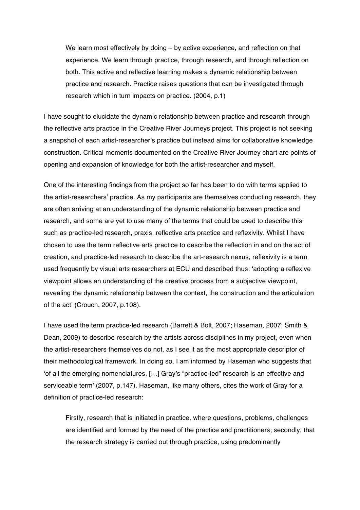We learn most effectively by doing – by active experience, and reflection on that experience. We learn through practice, through research, and through reflection on both. This active and reflective learning makes a dynamic relationship between practice and research. Practice raises questions that can be investigated through research which in turn impacts on practice. (2004, p.1)

I have sought to elucidate the dynamic relationship between practice and research through the reflective arts practice in the Creative River Journeys project. This project is not seeking a snapshot of each artist-researcher's practice but instead aims for collaborative knowledge construction. Critical moments documented on the Creative River Journey chart are points of opening and expansion of knowledge for both the artist-researcher and myself.

One of the interesting findings from the project so far has been to do with terms applied to the artist-researchers' practice. As my participants are themselves conducting research, they are often arriving at an understanding of the dynamic relationship between practice and research, and some are yet to use many of the terms that could be used to describe this such as practice-led research, praxis, reflective arts practice and reflexivity. Whilst I have chosen to use the term reflective arts practice to describe the reflection in and on the act of creation, and practice-led research to describe the art-research nexus, reflexivity is a term used frequently by visual arts researchers at ECU and described thus: 'adopting a reflexive viewpoint allows an understanding of the creative process from a subjective viewpoint, revealing the dynamic relationship between the context, the construction and the articulation of the act' (Crouch, 2007, p.108).

I have used the term practice-led research (Barrett & Bolt, 2007; Haseman, 2007; Smith & Dean, 2009) to describe research by the artists across disciplines in my project, even when the artist-researchers themselves do not, as I see it as the most appropriate descriptor of their methodological framework. In doing so, I am informed by Haseman who suggests that 'of all the emerging nomenclatures, […] Gray's "practice-led" research is an effective and serviceable term' (2007, p.147). Haseman, like many others, cites the work of Gray for a definition of practice-led research:

Firstly, research that is initiated in practice, where questions, problems, challenges are identified and formed by the need of the practice and practitioners; secondly, that the research strategy is carried out through practice, using predominantly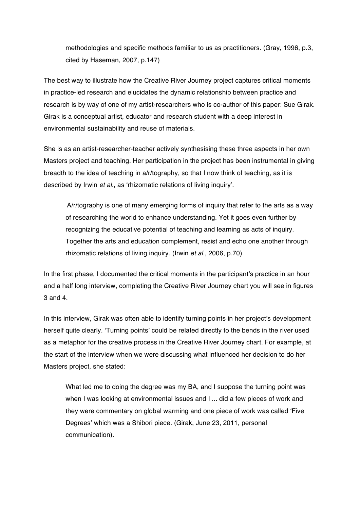methodologies and specific methods familiar to us as practitioners. (Gray, 1996, p.3, cited by Haseman, 2007, p.147)

The best way to illustrate how the Creative River Journey project captures critical moments in practice-led research and elucidates the dynamic relationship between practice and research is by way of one of my artist-researchers who is co-author of this paper: Sue Girak. Girak is a conceptual artist, educator and research student with a deep interest in environmental sustainability and reuse of materials.

She is as an artist-researcher-teacher actively synthesising these three aspects in her own Masters project and teaching. Her participation in the project has been instrumental in giving breadth to the idea of teaching in a/r/tography, so that I now think of teaching, as it is described by Irwin *et al.,* as 'rhizomatic relations of living inquiry'.

A/r/tography is one of many emerging forms of inquiry that refer to the arts as a way of researching the world to enhance understanding. Yet it goes even further by recognizing the educative potential of teaching and learning as acts of inquiry. Together the arts and education complement, resist and echo one another through rhizomatic relations of living inquiry. (Irwin *et al.*, 2006, p.70)

In the first phase, I documented the critical moments in the participant's practice in an hour and a half long interview, completing the Creative River Journey chart you will see in figures 3 and 4.

In this interview, Girak was often able to identify turning points in her project's development herself quite clearly. 'Turning points' could be related directly to the bends in the river used as a metaphor for the creative process in the Creative River Journey chart. For example, at the start of the interview when we were discussing what influenced her decision to do her Masters project, she stated:

What led me to doing the degree was my BA, and I suppose the turning point was when I was looking at environmental issues and I ... did a few pieces of work and they were commentary on global warming and one piece of work was called 'Five Degrees' which was a Shibori piece. (Girak, June 23, 2011, personal communication).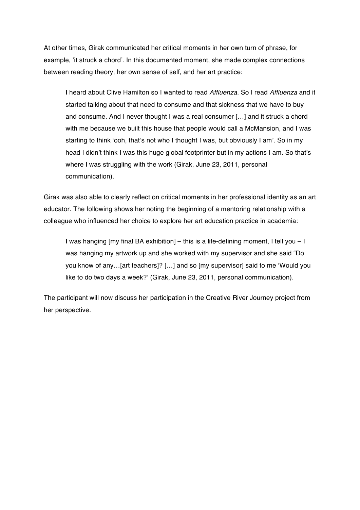At other times, Girak communicated her critical moments in her own turn of phrase, for example, 'it struck a chord'. In this documented moment, she made complex connections between reading theory, her own sense of self, and her art practice:

I heard about Clive Hamilton so I wanted to read *Affluenza*. So I read *Affluenza* and it started talking about that need to consume and that sickness that we have to buy and consume. And I never thought I was a real consumer […] and it struck a chord with me because we built this house that people would call a McMansion, and I was starting to think 'ooh, that's not who I thought I was, but obviously I am'. So in my head I didn't think I was this huge global footprinter but in my actions I am. So that's where I was struggling with the work (Girak, June 23, 2011, personal communication).

Girak was also able to clearly reflect on critical moments in her professional identity as an art educator. The following shows her noting the beginning of a mentoring relationship with a colleague who influenced her choice to explore her art education practice in academia:

I was hanging [my final BA exhibition] – this is a life-defining moment, I tell you – I was hanging my artwork up and she worked with my supervisor and she said "Do you know of any…[art teachers]? […] and so [my supervisor] said to me 'Would you like to do two days a week?' (Girak, June 23, 2011, personal communication).

The participant will now discuss her participation in the Creative River Journey project from her perspective.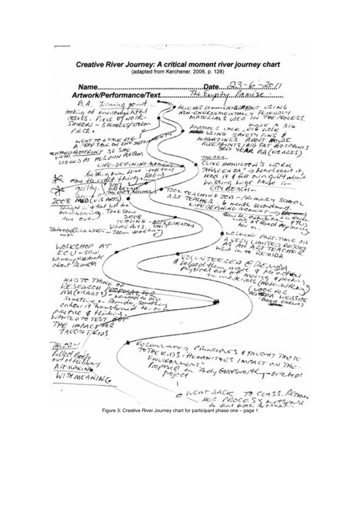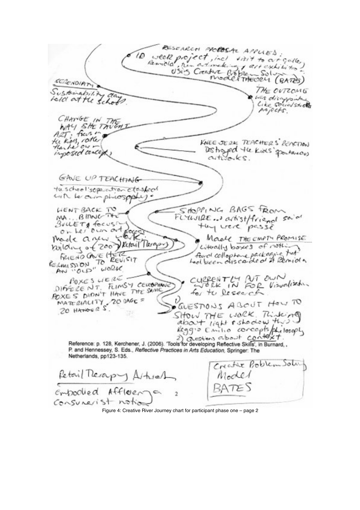RESEARCH PROBOSAL APPLIES. seek project, incl visit to at gallery<br>Remola, the artimeter at exhibition  $10$ SCRENDIAN THE OVTZOMG Sustainability was disagranted told at the school CHANGE IN THEM<br>WAY SHE TWEAT<br>ALT: frees in<br>Hunter of the KNEE JERK TEACHERS' BEACTION inposed concept) GAVE UP TEACHING the school soperation closfool with the own phrospphy  $SMOP_{I}NC_{I}BAGS$   $R_{ON}$ **LIENT BACK TO** MA. BING FLYWIRE. artist/friend said MALLBING thy were passe Maale THE EMPTY PROMISE Made a yew made a veco Vectoril Terry everally boxes of nothing FRIEND AVE HERE AN "OLD" WORK CUPPENTLY AUT OUN<br>for the Research **BOXES LIERE** DIFFERENT FUNSY CEMBRING DIFFELE NT. FLIMS THE SAME<br>POXES DIDN'T HAVE THE SAME MATERIALITY 20 BAGE = υ QUESTIONS ABOUT HOW TO SHOW THE WORK Time ing Reference: p. 128, Kerchener, J. (2006). Tools for developing Reflective Skills', in Burnard, P. and Hennessey, S. Eds., Reflective Practices in Arts Education, Springer: The Netherlands, pp123-135. Creature Problem Sola Retail Therapy Artural Model BATES empodied Affleena  $Conແ $A$$ 

Figure 4: Creative River Journey chart for participant phase one – page 2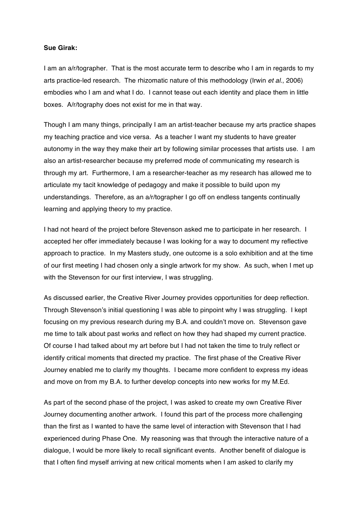#### **Sue Girak:**

I am an a/r/tographer. That is the most accurate term to describe who I am in regards to my arts practice-led research. The rhizomatic nature of this methodology (Irwin *et al*., 2006) embodies who I am and what I do. I cannot tease out each identity and place them in little boxes. A/r/tography does not exist for me in that way.

Though I am many things, principally I am an artist-teacher because my arts practice shapes my teaching practice and vice versa. As a teacher I want my students to have greater autonomy in the way they make their art by following similar processes that artists use. I am also an artist-researcher because my preferred mode of communicating my research is through my art. Furthermore, I am a researcher-teacher as my research has allowed me to articulate my tacit knowledge of pedagogy and make it possible to build upon my understandings. Therefore, as an a/r/tographer I go off on endless tangents continually learning and applying theory to my practice.

I had not heard of the project before Stevenson asked me to participate in her research. I accepted her offer immediately because I was looking for a way to document my reflective approach to practice. In my Masters study, one outcome is a solo exhibition and at the time of our first meeting I had chosen only a single artwork for my show. As such, when I met up with the Stevenson for our first interview, I was struggling.

As discussed earlier, the Creative River Journey provides opportunities for deep reflection. Through Stevenson's initial questioning I was able to pinpoint why I was struggling. I kept focusing on my previous research during my B.A. and couldn't move on. Stevenson gave me time to talk about past works and reflect on how they had shaped my current practice. Of course I had talked about my art before but I had not taken the time to truly reflect or identify critical moments that directed my practice. The first phase of the Creative River Journey enabled me to clarify my thoughts. I became more confident to express my ideas and move on from my B.A. to further develop concepts into new works for my M.Ed.

As part of the second phase of the project, I was asked to create my own Creative River Journey documenting another artwork. I found this part of the process more challenging than the first as I wanted to have the same level of interaction with Stevenson that I had experienced during Phase One. My reasoning was that through the interactive nature of a dialogue, I would be more likely to recall significant events. Another benefit of dialogue is that I often find myself arriving at new critical moments when I am asked to clarify my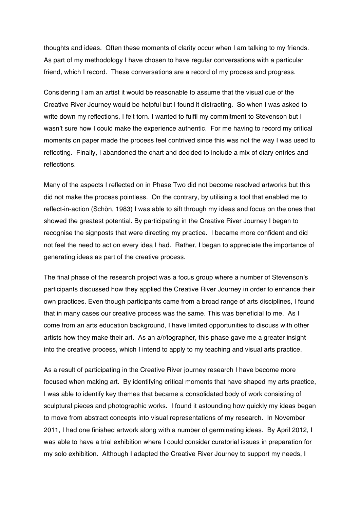thoughts and ideas. Often these moments of clarity occur when I am talking to my friends. As part of my methodology I have chosen to have regular conversations with a particular friend, which I record. These conversations are a record of my process and progress.

Considering I am an artist it would be reasonable to assume that the visual cue of the Creative River Journey would be helpful but I found it distracting. So when I was asked to write down my reflections, I felt torn. I wanted to fulfil my commitment to Stevenson but I wasn't sure how I could make the experience authentic. For me having to record my critical moments on paper made the process feel contrived since this was not the way I was used to reflecting. Finally, I abandoned the chart and decided to include a mix of diary entries and reflections.

Many of the aspects I reflected on in Phase Two did not become resolved artworks but this did not make the process pointless. On the contrary, by utilising a tool that enabled me to reflect-in-action (Schön, 1983) I was able to sift through my ideas and focus on the ones that showed the greatest potential. By participating in the Creative River Journey I began to recognise the signposts that were directing my practice. I became more confident and did not feel the need to act on every idea I had. Rather, I began to appreciate the importance of generating ideas as part of the creative process.

The final phase of the research project was a focus group where a number of Stevenson's participants discussed how they applied the Creative River Journey in order to enhance their own practices. Even though participants came from a broad range of arts disciplines, I found that in many cases our creative process was the same. This was beneficial to me. As I come from an arts education background, I have limited opportunities to discuss with other artists how they make their art. As an a/r/tographer, this phase gave me a greater insight into the creative process, which I intend to apply to my teaching and visual arts practice.

As a result of participating in the Creative River journey research I have become more focused when making art. By identifying critical moments that have shaped my arts practice, I was able to identify key themes that became a consolidated body of work consisting of sculptural pieces and photographic works. I found it astounding how quickly my ideas began to move from abstract concepts into visual representations of my research. In November 2011, I had one finished artwork along with a number of germinating ideas. By April 2012, I was able to have a trial exhibition where I could consider curatorial issues in preparation for my solo exhibition. Although I adapted the Creative River Journey to support my needs, I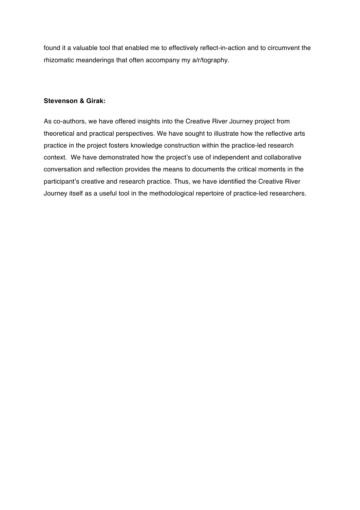found it a valuable tool that enabled me to effectively reflect-in-action and to circumvent the rhizomatic meanderings that often accompany my a/r/tography.

## **Stevenson & Girak:**

As co-authors, we have offered insights into the Creative River Journey project from theoretical and practical perspectives. We have sought to illustrate how the reflective arts practice in the project fosters knowledge construction within the practice-led research context. We have demonstrated how the project's use of independent and collaborative conversation and reflection provides the means to documents the critical moments in the participant's creative and research practice. Thus, we have identified the Creative River Journey itself as a useful tool in the methodological repertoire of practice-led researchers.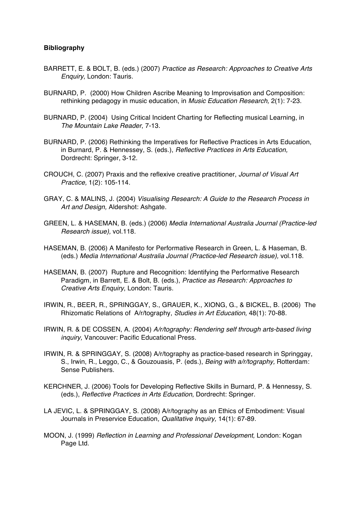### **Bibliography**

- BARRETT, E. & BOLT, B. (eds.) (2007) *Practice as Research: Approaches to Creative Arts Enquiry*, London: Tauris.
- BURNARD, P. (2000) How Children Ascribe Meaning to Improvisation and Composition: rethinking pedagogy in music education, in *Music Education Research,* 2(1): 7-23.
- BURNARD, P. (2004) Using Critical Incident Charting for Reflecting musical Learning, in *The Mountain Lake Reader*, 7-13.
- BURNARD, P. (2006) Rethinking the Imperatives for Reflective Practices in Arts Education, in Burnard, P. & Hennessey, S. (eds.), *Reflective Practices in Arts Education,* Dordrecht: Springer, 3-12*.*
- CROUCH, C. (2007) Praxis and the reflexive creative practitioner, *Journal of Visual Art Practice,* 1(2): 105-114.
- GRAY, C. & MALINS, J. (2004) *Visualising Research: A Guide to the Research Process in Art and Design,* Aldershot: Ashgate.
- GREEN, L. & HASEMAN, B. (eds.) (2006) *Media International Australia Journal (Practice-led Research issue),* vol.118.
- HASEMAN, B. (2006) A Manifesto for Performative Research in Green, L. & Haseman, B. (eds.) *Media International Australia Journal (Practice-led Research issue),* vol.118.
- HASEMAN, B. (2007) Rupture and Recognition: Identifying the Performative Research Paradigm, in Barrett, E. & Bolt, B. (eds.), *Practice as Research: Approaches to Creative Arts Enquiry*, London: Tauris.
- IRWIN, R., BEER, R., SPRINGGAY, S., GRAUER, K., XIONG, G., & BICKEL, B. (2006) The Rhizomatic Relations of A/r/tography, *Studies in Art Education,* 48(1): 70-88.
- IRWIN, R. & DE COSSEN, A. (2004) *A/r/tography: Rendering self through arts-based living inquiry,* Vancouver: Pacific Educational Press.
- IRWIN, R. & SPRINGGAY, S. (2008) A/r/tography as practice-based research in Springgay, S., Irwin, R., Leggo, C., & Gouzouasis, P. (eds.), *Being with a/r/tography,* Rotterdam: Sense Publishers.
- KERCHNER, J. (2006) Tools for Developing Reflective Skills in Burnard, P. & Hennessy, S. (eds.), *Reflective Practices in Arts Education*, Dordrecht: Springer.
- LA JEVIC, L. & SPRINGGAY, S. (2008) A/r/tography as an Ethics of Embodiment: Visual Journals in Preservice Education*, Qualitative Inquiry,* 14(1): 67-89.
- MOON, J. (1999) *Reflection in Learning and Professional Development,* London: Kogan Page Ltd.